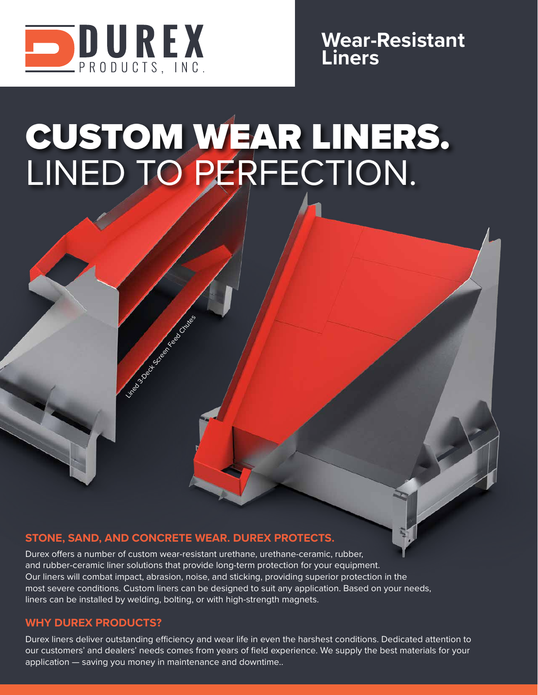

**Wear-Resistant Liners**

# CUSTOM WEAR LINERS. LINED TO PERFECTION.

#### **STONE, SAND, AND CONCRETE WEAR. DUREX PROTECTS.**

Lined 3-Deck Screen Feed Chutes

Durex offers a number of custom wear-resistant urethane, urethane-ceramic, rubber, and rubber-ceramic liner solutions that provide long-term protection for your equipment. Our liners will combat impact, abrasion, noise, and sticking, providing superior protection in the most severe conditions. Custom liners can be designed to suit any application. Based on your needs, liners can be installed by welding, bolting, or with high-strength magnets.

#### **WHY DUREX PRODUCTS?**

Durex liners deliver outstanding efficiency and wear life in even the harshest conditions. Dedicated attention to our customers' and dealers' needs comes from years of field experience. We supply the best materials for your application — saving you money in maintenance and downtime..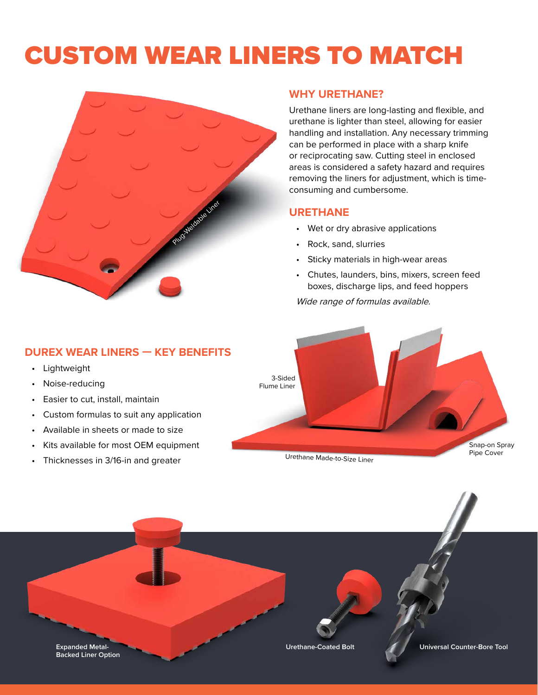## CUSTOM WEAR LINERS TO MATCH



#### **WHY URETHANE?**

Urethane liners are long-lasting and flexible, and urethane is lighter than steel, allowing for easier handling and installation. Any necessary trimming can be performed in place with a sharp knife or reciprocating saw. Cutting steel in enclosed areas is considered a safety hazard and requires removing the liners for adjustment, which is timeconsuming and cumbersome.

#### **URETHANE**

- Wet or dry abrasive applications
- Rock, sand, slurries
- Sticky materials in high-wear areas
- Chutes, launders, bins, mixers, screen feed boxes, discharge lips, and feed hoppers

Wide range of formulas available.



- Lightweight
- Noise-reducing
- Easier to cut, install, maintain
- Custom formulas to suit any application
- Available in sheets or made to size
- Kits available for most OEM equipment
- Thicknesses in 3/16-in and greater



Urethane Made-to-Size Liner

**Expanded Metal- Urethane-Coated Bolt Backed Liner Option Universal Counter-Bore Tool**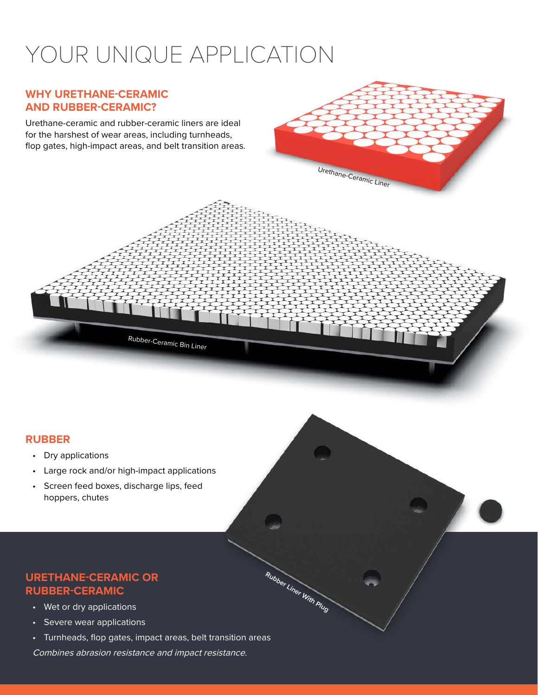### YOUR UNIQUE APPLICATION

Urethane-Ceramic Liner

**Rubber Liner With Plug**

#### **WHY URETHANE-CERAMIC AND RUBBER-CERAMIC?**

Urethane-ceramic and rubber-ceramic liners are ideal for the harshest of wear areas, including turnheads, flop gates, high-impact areas, and belt transition areas.



- Dry applications
- Large rock and/or high-impact applications

Rubber-Ceramic Bin Liner

• Screen feed boxes, discharge lips, feed hoppers, chutes

#### **URETHANE-CERAMIC OR RUBBER-CERAMIC**

- Wet or dry applications
- Severe wear applications
- Turnheads, flop gates, impact areas, belt transition areas

Combines abrasion resistance and impact resistance.